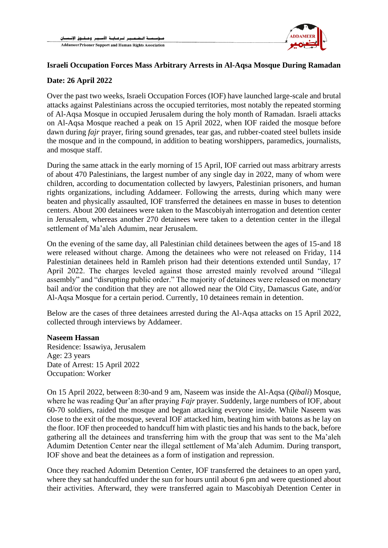

# **Israeli Occupation Forces Mass Arbitrary Arrests in Al-Aqsa Mosque During Ramadan**

### **Date: 26 April 2022**

Over the past two weeks, Israeli Occupation Forces (IOF) have launched large-scale and brutal attacks against Palestinians across the occupied territories, most notably the repeated storming of Al-Aqsa Mosque in occupied Jerusalem during the holy month of Ramadan. Israeli attacks on Al-Aqsa Mosque reached a peak on 15 April 2022, when IOF raided the mosque before dawn during *fajr* prayer, firing sound grenades, tear gas, and rubber-coated steel bullets inside the mosque and in the compound, in addition to beating worshippers, paramedics, journalists, and mosque staff.

During the same attack in the early morning of 15 April, IOF carried out mass arbitrary arrests of about 470 Palestinians, the largest number of any single day in 2022, many of whom were children, according to documentation collected by lawyers, Palestinian prisoners, and human rights organizations, including Addameer. Following the arrests, during which many were beaten and physically assaulted, IOF transferred the detainees en masse in buses to detention centers. About 200 detainees were taken to the Mascobiyah interrogation and detention center in Jerusalem, whereas another 270 detainees were taken to a detention center in the illegal settlement of Ma'aleh Adumim, near Jerusalem.

On the evening of the same day, all Palestinian child detainees between the ages of 15-and 18 were released without charge. Among the detainees who were not released on Friday, 114 Palestinian detainees held in Ramleh prison had their detentions extended until Sunday, 17 April 2022. The charges leveled against those arrested mainly revolved around "illegal assembly" and "disrupting public order." The majority of detainees were released on monetary bail and/or the condition that they are not allowed near the Old City, Damascus Gate, and/or Al-Aqsa Mosque for a certain period. Currently, 10 detainees remain in detention.

Below are the cases of three detainees arrested during the Al-Aqsa attacks on 15 April 2022, collected through interviews by Addameer.

#### **Naseem Hassan**

Residence: Issawiya, Jerusalem Age: 23 years Date of Arrest: 15 April 2022 Occupation: Worker

On 15 April 2022, between 8:30-and 9 am, Naseem was inside the Al-Aqsa (*Qibali*) Mosque, where he was reading Qur'an after praying *Fajr* prayer. Suddenly, large numbers of IOF, about 60-70 soldiers, raided the mosque and began attacking everyone inside. While Naseem was close to the exit of the mosque, several IOF attacked him, beating him with batons as he lay on the floor. IOF then proceeded to handcuff him with plastic ties and his hands to the back, before gathering all the detainees and transferring him with the group that was sent to the Ma'aleh Adumim Detention Center near the illegal settlement of Ma'aleh Adumim. During transport, IOF shove and beat the detainees as a form of instigation and repression.

Once they reached Adomim Detention Center, IOF transferred the detainees to an open yard, where they sat handcuffed under the sun for hours until about 6 pm and were questioned about their activities. Afterward, they were transferred again to Mascobiyah Detention Center in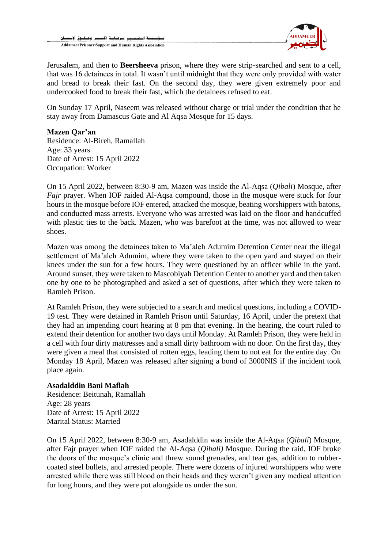

Jerusalem, and then to **Beersheeva** prison, where they were strip-searched and sent to a cell, that was 16 detainees in total. It wasn't until midnight that they were only provided with water and bread to break their fast. On the second day, they were given extremely poor and undercooked food to break their fast, which the detainees refused to eat.

On Sunday 17 April, Naseem was released without charge or trial under the condition that he stay away from Damascus Gate and Al Aqsa Mosque for 15 days.

## **Mazen Qar'an**

Residence: Al-Bireh, Ramallah Age: 33 years Date of Arrest: 15 April 2022 Occupation: Worker

On 15 April 2022, between 8:30-9 am, Mazen was inside the Al-Aqsa (*Qibali*) Mosque, after *Fajr* prayer. When IOF raided Al-Aqsa compound, those in the mosque were stuck for four hours in the mosque before IOF entered, attacked the mosque, beating worshippers with batons, and conducted mass arrests. Everyone who was arrested was laid on the floor and handcuffed with plastic ties to the back. Mazen, who was barefoot at the time, was not allowed to wear shoes.

Mazen was among the detainees taken to Ma'aleh Adumim Detention Center near the illegal settlement of Ma'aleh Adumim, where they were taken to the open yard and stayed on their knees under the sun for a few hours. They were questioned by an officer while in the yard. Around sunset, they were taken to Mascobiyah Detention Center to another yard and then taken one by one to be photographed and asked a set of questions, after which they were taken to Ramleh Prison.

At Ramleh Prison, they were subjected to a search and medical questions, including a COVID-19 test. They were detained in Ramleh Prison until Saturday, 16 April, under the pretext that they had an impending court hearing at 8 pm that evening. In the hearing, the court ruled to extend their detention for another two days until Monday. At Ramleh Prison, they were held in a cell with four dirty mattresses and a small dirty bathroom with no door. On the first day, they were given a meal that consisted of rotten eggs, leading them to not eat for the entire day. On Monday 18 April, Mazen was released after signing a bond of 3000NIS if the incident took place again.

### **Asadalddin Bani Maflah**

Residence: Beitunah, Ramallah Age: 28 years Date of Arrest: 15 April 2022 Marital Status: Married

On 15 April 2022, between 8:30-9 am, Asadalddin was inside the Al-Aqsa (*Qibali*) Mosque, after Fajr prayer when IOF raided the Al-Aqsa (*Qibali)* Mosque. During the raid, IOF broke the doors of the mosque's clinic and threw sound grenades, and tear gas, addition to rubbercoated steel bullets, and arrested people. There were dozens of injured worshippers who were arrested while there was still blood on their heads and they weren't given any medical attention for long hours, and they were put alongside us under the sun.